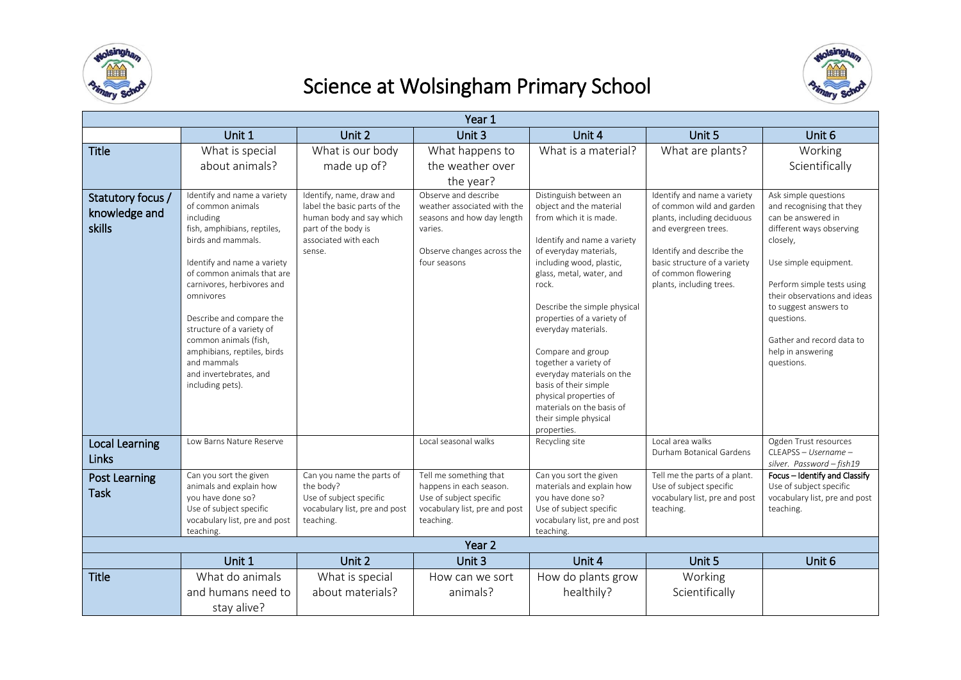

## Science at Wolsingham Primary School



| Year 1                                       |                                                                                                                                                                                                                                                                                                                                                                                                                 |                                                                                                                                               |                                                                                                                                            |                                                                                                                                                                                                                                                                                                                                                                                                                                                                                               |                                                                                                                                                                                                                                 |                                                                                                                                                                                                                                                                                                               |  |  |
|----------------------------------------------|-----------------------------------------------------------------------------------------------------------------------------------------------------------------------------------------------------------------------------------------------------------------------------------------------------------------------------------------------------------------------------------------------------------------|-----------------------------------------------------------------------------------------------------------------------------------------------|--------------------------------------------------------------------------------------------------------------------------------------------|-----------------------------------------------------------------------------------------------------------------------------------------------------------------------------------------------------------------------------------------------------------------------------------------------------------------------------------------------------------------------------------------------------------------------------------------------------------------------------------------------|---------------------------------------------------------------------------------------------------------------------------------------------------------------------------------------------------------------------------------|---------------------------------------------------------------------------------------------------------------------------------------------------------------------------------------------------------------------------------------------------------------------------------------------------------------|--|--|
|                                              | Unit 1                                                                                                                                                                                                                                                                                                                                                                                                          | Unit 2                                                                                                                                        | Unit 3                                                                                                                                     | Unit 4                                                                                                                                                                                                                                                                                                                                                                                                                                                                                        | Unit 5                                                                                                                                                                                                                          | Unit 6                                                                                                                                                                                                                                                                                                        |  |  |
| <b>Title</b>                                 | What is special                                                                                                                                                                                                                                                                                                                                                                                                 | What is our body                                                                                                                              | What happens to                                                                                                                            | What is a material?                                                                                                                                                                                                                                                                                                                                                                                                                                                                           | What are plants?                                                                                                                                                                                                                | Working                                                                                                                                                                                                                                                                                                       |  |  |
|                                              | about animals?                                                                                                                                                                                                                                                                                                                                                                                                  | made up of?                                                                                                                                   | the weather over<br>the year?                                                                                                              |                                                                                                                                                                                                                                                                                                                                                                                                                                                                                               |                                                                                                                                                                                                                                 | Scientifically                                                                                                                                                                                                                                                                                                |  |  |
| Statutory focus /<br>knowledge and<br>skills | Identify and name a variety<br>of common animals<br><i>including</i><br>fish, amphibians, reptiles,<br>birds and mammals.<br>Identify and name a variety<br>of common animals that are<br>carnivores, herbivores and<br>omnivores<br>Describe and compare the<br>structure of a variety of<br>common animals (fish,<br>amphibians, reptiles, birds<br>and mammals<br>and invertebrates, and<br>including pets). | Identify, name, draw and<br>label the basic parts of the<br>human body and say which<br>part of the body is<br>associated with each<br>sense. | Observe and describe<br>weather associated with the<br>seasons and how day length<br>varies.<br>Observe changes across the<br>four seasons | Distinguish between an<br>object and the material<br>from which it is made.<br>Identify and name a variety<br>of everyday materials,<br>including wood, plastic,<br>glass, metal, water, and<br>rock.<br>Describe the simple physical<br>properties of a variety of<br>everyday materials.<br>Compare and group<br>together a variety of<br>everyday materials on the<br>basis of their simple<br>physical properties of<br>materials on the basis of<br>their simple physical<br>properties. | Identify and name a variety<br>of common wild and garden<br>plants, including deciduous<br>and evergreen trees.<br>Identify and describe the<br>basic structure of a variety<br>of common flowering<br>plants, including trees. | Ask simple questions<br>and recognising that they<br>can be answered in<br>different ways observing<br>closely,<br>Use simple equipment.<br>Perform simple tests using<br>their observations and ideas<br>to suggest answers to<br>questions.<br>Gather and record data to<br>help in answering<br>questions. |  |  |
| <b>Local Learning</b><br><b>Links</b>        | Low Barns Nature Reserve                                                                                                                                                                                                                                                                                                                                                                                        |                                                                                                                                               | Local seasonal walks                                                                                                                       | Recycling site                                                                                                                                                                                                                                                                                                                                                                                                                                                                                | Local area walks<br>Durham Botanical Gardens                                                                                                                                                                                    | Ogden Trust resources<br>CLEAPSS - Username -<br>silver. Password-fish19                                                                                                                                                                                                                                      |  |  |
| <b>Post Learning</b><br><b>Task</b>          | Can you sort the given<br>animals and explain how<br>you have done so?<br>Use of subject specific<br>vocabulary list, pre and post<br>teaching.                                                                                                                                                                                                                                                                 | Can you name the parts of<br>the body?<br>Use of subject specific<br>vocabulary list, pre and post<br>teaching.                               | Tell me something that<br>happens in each season.<br>Use of subject specific<br>vocabulary list, pre and post<br>teaching.                 | Can you sort the given<br>materials and explain how<br>you have done so?<br>Use of subject specific<br>vocabulary list, pre and post<br>teaching.                                                                                                                                                                                                                                                                                                                                             | Tell me the parts of a plant.<br>Use of subject specific<br>vocabulary list, pre and post<br>teaching.                                                                                                                          | Focus - Identify and Classify<br>Use of subject specific<br>vocabulary list, pre and post<br>teaching.                                                                                                                                                                                                        |  |  |
|                                              |                                                                                                                                                                                                                                                                                                                                                                                                                 |                                                                                                                                               | Year <sub>2</sub>                                                                                                                          |                                                                                                                                                                                                                                                                                                                                                                                                                                                                                               |                                                                                                                                                                                                                                 |                                                                                                                                                                                                                                                                                                               |  |  |
|                                              | Unit 1                                                                                                                                                                                                                                                                                                                                                                                                          | Unit 2                                                                                                                                        | Unit 3                                                                                                                                     | Unit 4                                                                                                                                                                                                                                                                                                                                                                                                                                                                                        | Unit 5                                                                                                                                                                                                                          | Unit 6                                                                                                                                                                                                                                                                                                        |  |  |
| <b>Title</b>                                 | What do animals                                                                                                                                                                                                                                                                                                                                                                                                 | What is special                                                                                                                               | How can we sort                                                                                                                            | How do plants grow                                                                                                                                                                                                                                                                                                                                                                                                                                                                            | Working                                                                                                                                                                                                                         |                                                                                                                                                                                                                                                                                                               |  |  |
|                                              | and humans need to                                                                                                                                                                                                                                                                                                                                                                                              | about materials?                                                                                                                              | animals?                                                                                                                                   | healthily?                                                                                                                                                                                                                                                                                                                                                                                                                                                                                    | Scientifically                                                                                                                                                                                                                  |                                                                                                                                                                                                                                                                                                               |  |  |
|                                              | stay alive?                                                                                                                                                                                                                                                                                                                                                                                                     |                                                                                                                                               |                                                                                                                                            |                                                                                                                                                                                                                                                                                                                                                                                                                                                                                               |                                                                                                                                                                                                                                 |                                                                                                                                                                                                                                                                                                               |  |  |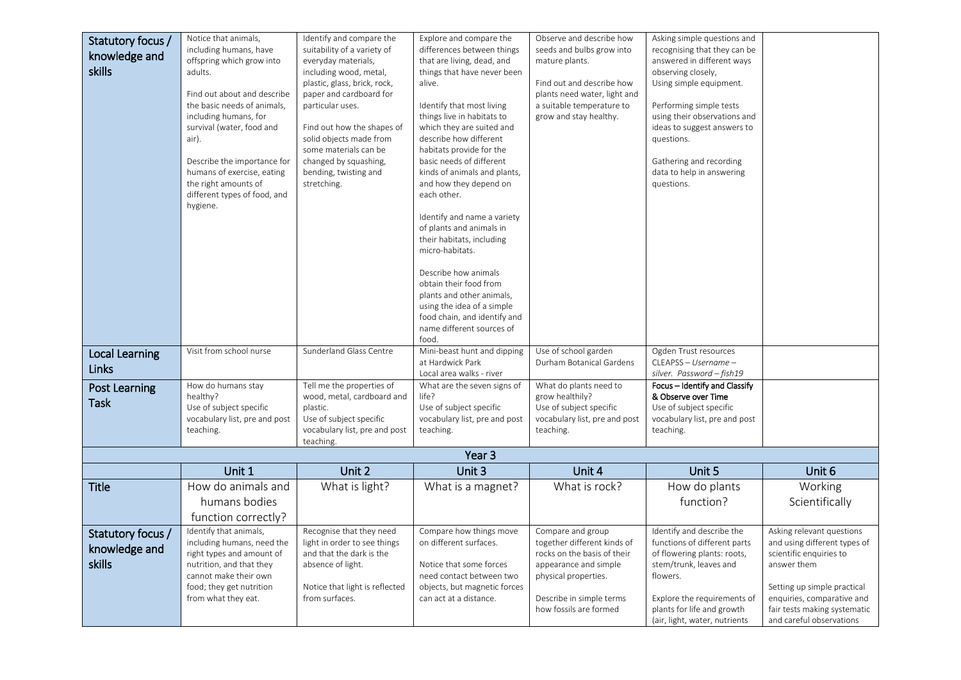| Statutory focus /<br>knowledge and<br>skills | Notice that animals,<br>including humans, have<br>offspring which grow into<br>adults.<br>Find out about and describe                                                                     | Identify and compare the<br>suitability of a variety of<br>everyday materials,<br>including wood, metal,<br>plastic, glass, brick, rock,<br>paper and cardboard for | Explore and compare the<br>differences between things<br>that are living, dead, and<br>things that have never been<br>alive.                                                                           | Observe and describe how<br>seeds and bulbs grow into<br>mature plants.<br>Find out and describe how<br>plants need water, light and                                                   | Asking simple questions and<br>recognising that they can be<br>answered in different ways<br>observing closely,<br>Using simple equipment.                                                                                   |                                                                                                                                                                                                                              |
|----------------------------------------------|-------------------------------------------------------------------------------------------------------------------------------------------------------------------------------------------|---------------------------------------------------------------------------------------------------------------------------------------------------------------------|--------------------------------------------------------------------------------------------------------------------------------------------------------------------------------------------------------|----------------------------------------------------------------------------------------------------------------------------------------------------------------------------------------|------------------------------------------------------------------------------------------------------------------------------------------------------------------------------------------------------------------------------|------------------------------------------------------------------------------------------------------------------------------------------------------------------------------------------------------------------------------|
|                                              | the basic needs of animals,<br>including humans, for<br>survival (water, food and<br>air).<br>Describe the importance for<br>humans of exercise, eating                                   | particular uses.<br>Find out how the shapes of<br>solid objects made from<br>some materials can be<br>changed by squashing,<br>bending, twisting and                | Identify that most living<br>things live in habitats to<br>which they are suited and<br>describe how different<br>habitats provide for the<br>basic needs of different<br>kinds of animals and plants, | a suitable temperature to<br>grow and stay healthy.                                                                                                                                    | Performing simple tests<br>using their observations and<br>ideas to suggest answers to<br>questions.<br>Gathering and recording<br>data to help in answering                                                                 |                                                                                                                                                                                                                              |
|                                              | the right amounts of<br>different types of food, and<br>hygiene.                                                                                                                          | stretching.                                                                                                                                                         | and how they depend on<br>each other.<br>Identify and name a variety<br>of plants and animals in<br>their habitats, including<br>micro-habitats.                                                       |                                                                                                                                                                                        | questions.                                                                                                                                                                                                                   |                                                                                                                                                                                                                              |
|                                              |                                                                                                                                                                                           |                                                                                                                                                                     | Describe how animals<br>obtain their food from<br>plants and other animals,<br>using the idea of a simple<br>food chain, and identify and<br>name different sources of<br>food.                        |                                                                                                                                                                                        |                                                                                                                                                                                                                              |                                                                                                                                                                                                                              |
| <b>Local Learning</b><br>Links               | Visit from school nurse                                                                                                                                                                   | Sunderland Glass Centre                                                                                                                                             | Mini-beast hunt and dipping<br>at Hardwick Park<br>Local area walks - river                                                                                                                            | Use of school garden<br>Durham Botanical Gardens                                                                                                                                       | Ogden Trust resources<br>CLEAPSS - Username -<br>silver. Password - fish19                                                                                                                                                   |                                                                                                                                                                                                                              |
| <b>Post Learning</b><br><b>Task</b>          | How do humans stay<br>healthy?<br>Use of subject specific<br>vocabulary list, pre and post<br>teaching.                                                                                   | Tell me the properties of<br>wood, metal, cardboard and<br>plastic.<br>Use of subject specific<br>vocabulary list, pre and post<br>teaching.                        | What are the seven signs of<br>life?<br>Use of subject specific<br>vocabulary list, pre and post<br>teaching.                                                                                          | What do plants need to<br>grow healthily?<br>Use of subject specific<br>vocabulary list, pre and post<br>teaching.                                                                     | Focus - Identify and Classify<br>& Observe over Time<br>Use of subject specific<br>vocabulary list, pre and post<br>teaching.                                                                                                |                                                                                                                                                                                                                              |
|                                              |                                                                                                                                                                                           |                                                                                                                                                                     | Year <sub>3</sub>                                                                                                                                                                                      |                                                                                                                                                                                        |                                                                                                                                                                                                                              |                                                                                                                                                                                                                              |
|                                              | Unit 1                                                                                                                                                                                    | Unit 2                                                                                                                                                              | Unit 3                                                                                                                                                                                                 | Unit 4                                                                                                                                                                                 | Unit 5                                                                                                                                                                                                                       | Unit 6                                                                                                                                                                                                                       |
| <b>Title</b>                                 | How do animals and<br>humans bodies<br>function correctly?                                                                                                                                | What is light?                                                                                                                                                      | What is a magnet?                                                                                                                                                                                      | What is rock?                                                                                                                                                                          | How do plants<br>function?                                                                                                                                                                                                   | Working<br>Scientifically                                                                                                                                                                                                    |
| Statutory focus /<br>knowledge and<br>skills | Identify that animals,<br>including humans, need the<br>right types and amount of<br>nutrition, and that they<br>cannot make their own<br>food; they get nutrition<br>from what they eat. | Recognise that they need<br>light in order to see things<br>and that the dark is the<br>absence of light.<br>Notice that light is reflected<br>from surfaces.       | Compare how things move<br>on different surfaces.<br>Notice that some forces<br>need contact between two<br>objects, but magnetic forces<br>can act at a distance.                                     | Compare and group<br>together different kinds of<br>rocks on the basis of their<br>appearance and simple<br>physical properties.<br>Describe in simple terms<br>how fossils are formed | Identify and describe the<br>functions of different parts<br>of flowering plants: roots,<br>stem/trunk, leaves and<br>flowers.<br>Explore the requirements of<br>plants for life and growth<br>(air, light, water, nutrients | Asking relevant questions<br>and using different types of<br>scientific enquiries to<br>answer them<br>Setting up simple practical<br>enquiries, comparative and<br>fair tests making systematic<br>and careful observations |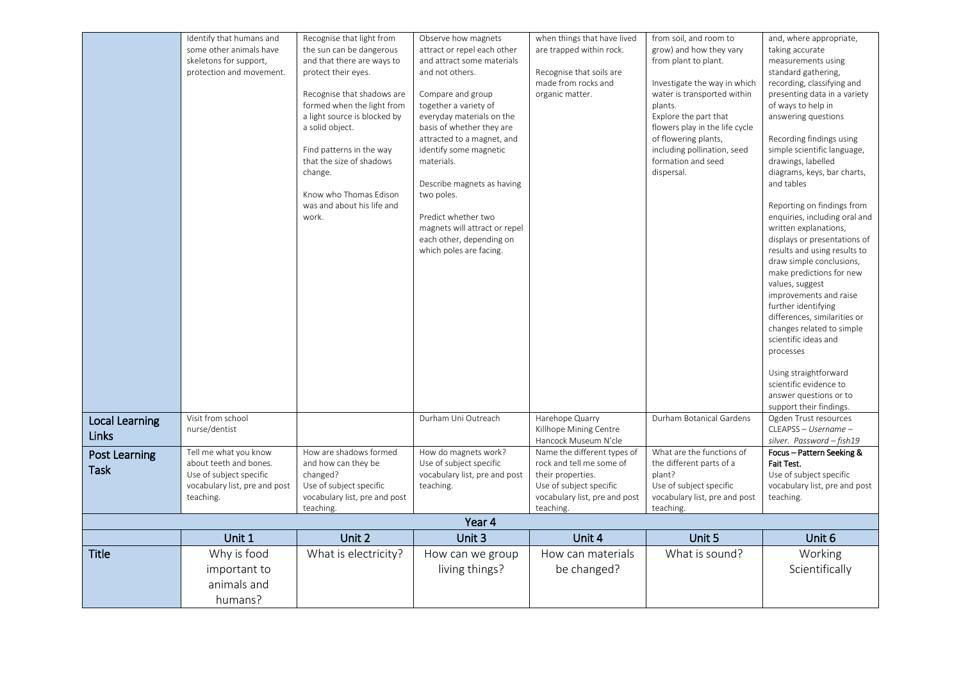|                       | Identify that humans and                                 | Recognise that light from       | Observe how magnets                                       | when things that have lived                  | from soil, and room to            | and, where appropriate,                                      |
|-----------------------|----------------------------------------------------------|---------------------------------|-----------------------------------------------------------|----------------------------------------------|-----------------------------------|--------------------------------------------------------------|
|                       | some other animals have                                  | the sun can be dangerous        | attract or repel each other                               | are trapped within rock.                     | grow) and how they vary           | taking accurate                                              |
|                       | skeletons for support,                                   | and that there are ways to      | and attract some materials                                |                                              | from plant to plant.              | measurements using                                           |
|                       | protection and movement.                                 | protect their eyes.             | and not others.                                           | Recognise that soils are                     |                                   | standard gathering,                                          |
|                       |                                                          |                                 |                                                           | made from rocks and                          | Investigate the way in which      | recording, classifying and                                   |
|                       |                                                          | Recognise that shadows are      | Compare and group                                         | organic matter.                              | water is transported within       | presenting data in a variety                                 |
|                       |                                                          | formed when the light from      | together a variety of                                     |                                              | plants.                           | of ways to help in                                           |
|                       |                                                          | a light source is blocked by    | everyday materials on the                                 |                                              | Explore the part that             | answering questions                                          |
|                       |                                                          | a solid object.                 | basis of whether they are                                 |                                              | flowers play in the life cycle    |                                                              |
|                       |                                                          |                                 | attracted to a magnet, and                                |                                              | of flowering plants,              | Recording findings using                                     |
|                       |                                                          | Find patterns in the way        | identify some magnetic                                    |                                              | including pollination, seed       | simple scientific language,                                  |
|                       |                                                          | that the size of shadows        | materials.                                                |                                              | formation and seed                | drawings, labelled                                           |
|                       |                                                          | change.                         |                                                           |                                              | dispersal.                        | diagrams, keys, bar charts,                                  |
|                       |                                                          |                                 | Describe magnets as having                                |                                              |                                   | and tables                                                   |
|                       |                                                          | Know who Thomas Edison          | two poles.                                                |                                              |                                   |                                                              |
|                       |                                                          | was and about his life and      |                                                           |                                              |                                   | Reporting on findings from                                   |
|                       |                                                          | work.                           | Predict whether two                                       |                                              |                                   | enquiries, including oral and                                |
|                       |                                                          |                                 | magnets will attract or repel<br>each other, depending on |                                              |                                   | written explanations,                                        |
|                       |                                                          |                                 | which poles are facing.                                   |                                              |                                   | displays or presentations of<br>results and using results to |
|                       |                                                          |                                 |                                                           |                                              |                                   | draw simple conclusions,                                     |
|                       |                                                          |                                 |                                                           |                                              |                                   | make predictions for new                                     |
|                       |                                                          |                                 |                                                           |                                              |                                   | values, suggest                                              |
|                       |                                                          |                                 |                                                           |                                              |                                   | improvements and raise                                       |
|                       |                                                          |                                 |                                                           |                                              |                                   | further identifying                                          |
|                       |                                                          |                                 |                                                           |                                              |                                   | differences, similarities or                                 |
|                       |                                                          |                                 |                                                           |                                              |                                   | changes related to simple                                    |
|                       |                                                          |                                 |                                                           |                                              |                                   | scientific ideas and                                         |
|                       |                                                          |                                 |                                                           |                                              |                                   | processes                                                    |
|                       |                                                          |                                 |                                                           |                                              |                                   |                                                              |
|                       |                                                          |                                 |                                                           |                                              |                                   | Using straightforward                                        |
|                       |                                                          |                                 |                                                           |                                              |                                   | scientific evidence to                                       |
|                       |                                                          |                                 |                                                           |                                              |                                   | answer questions or to                                       |
|                       |                                                          |                                 |                                                           |                                              |                                   | support their findings.                                      |
| <b>Local Learning</b> | Visit from school                                        |                                 | Durham Uni Outreach                                       | Harehope Quarry                              | Durham Botanical Gardens          | Ogden Trust resources                                        |
| Links                 | nurse/dentist                                            |                                 |                                                           | Killhope Mining Centre                       |                                   | CLEAPSS - Username -                                         |
|                       |                                                          |                                 |                                                           | Hancock Museum N'cle                         |                                   | silver. Password - fish19                                    |
| <b>Post Learning</b>  | Tell me what you know                                    | How are shadows formed          | How do magnets work?                                      | Name the different types of                  | What are the functions of         | Focus - Pattern Seeking &                                    |
| <b>Task</b>           | about teeth and bones.                                   | and how can they be<br>changed? | Use of subject specific                                   | rock and tell me some of                     | the different parts of a          | <b>Fait Test.</b>                                            |
|                       | Use of subject specific<br>vocabulary list, pre and post | Use of subject specific         | vocabulary list, pre and post<br>teaching.                | their properties.<br>Use of subject specific | plant?<br>Use of subject specific | Use of subject specific<br>vocabulary list, pre and post     |
|                       | teaching.                                                | vocabulary list, pre and post   |                                                           | vocabulary list, pre and post                | vocabulary list, pre and post     | teaching.                                                    |
|                       |                                                          | teaching.                       |                                                           | teaching.                                    | teaching.                         |                                                              |
|                       |                                                          |                                 | Year 4                                                    |                                              |                                   |                                                              |
|                       | Unit 1                                                   | Unit 2                          | Unit 3                                                    | Unit 4                                       | Unit 5                            | Unit 6                                                       |
|                       |                                                          |                                 |                                                           |                                              |                                   |                                                              |
| <b>Title</b>          | Why is food                                              | What is electricity?            | How can we group                                          | How can materials                            | What is sound?                    | Working                                                      |
|                       | important to                                             |                                 | living things?                                            | be changed?                                  |                                   | Scientifically                                               |
|                       | animals and                                              |                                 |                                                           |                                              |                                   |                                                              |
|                       | humans?                                                  |                                 |                                                           |                                              |                                   |                                                              |
|                       |                                                          |                                 |                                                           |                                              |                                   |                                                              |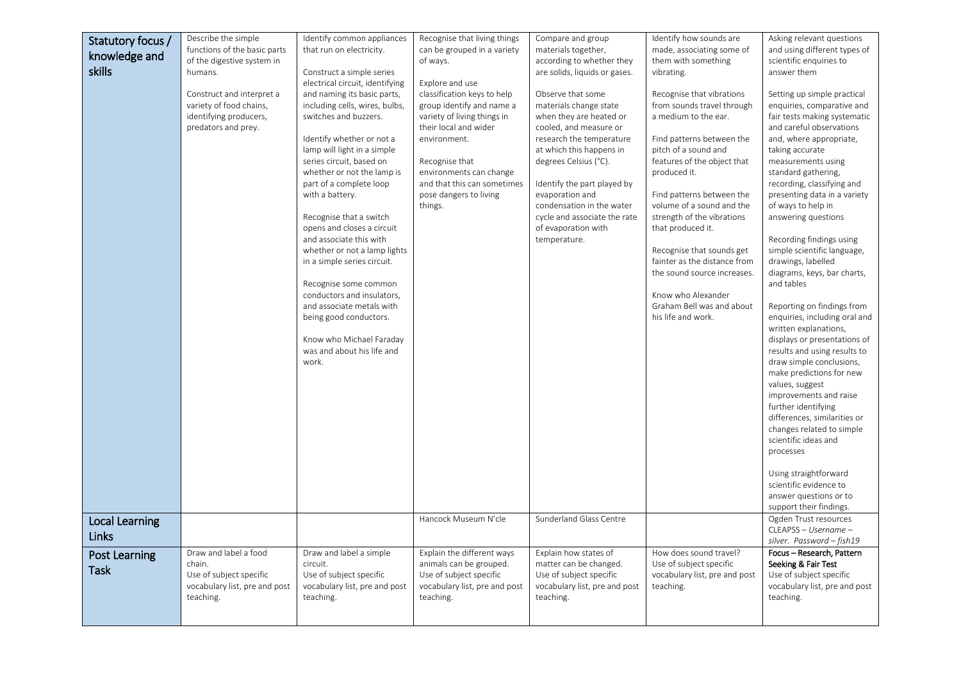| Statutory focus /     | Describe the simple                   | Identify common appliances                                  | Recognise that living things              | Compare and group                                          | Identify how sounds are                                   | Asking relevant questions                                    |
|-----------------------|---------------------------------------|-------------------------------------------------------------|-------------------------------------------|------------------------------------------------------------|-----------------------------------------------------------|--------------------------------------------------------------|
| knowledge and         | functions of the basic parts          | that run on electricity.                                    | can be grouped in a variety               | materials together,                                        | made, associating some of                                 | and using different types of                                 |
| skills                | of the digestive system in<br>humans. | Construct a simple series                                   | of ways.                                  | according to whether they<br>are solids, liquids or gases. | them with something<br>vibrating.                         | scientific enquiries to<br>answer them                       |
|                       |                                       | electrical circuit, identifying                             | Explore and use                           |                                                            |                                                           |                                                              |
|                       | Construct and interpret a             | and naming its basic parts,                                 | classification keys to help               | Observe that some                                          | Recognise that vibrations                                 | Setting up simple practical                                  |
|                       | variety of food chains,               | including cells, wires, bulbs,                              | group identify and name a                 | materials change state                                     | from sounds travel through                                | enquiries, comparative and                                   |
|                       | identifying producers,                | switches and buzzers.                                       | variety of living things in               | when they are heated or                                    | a medium to the ear.                                      | fair tests making systematic                                 |
|                       | predators and prey.                   |                                                             | their local and wider                     | cooled, and measure or                                     |                                                           | and careful observations                                     |
|                       |                                       | Identify whether or not a                                   | environment.                              | research the temperature                                   | Find patterns between the                                 | and, where appropriate,                                      |
|                       |                                       | lamp will light in a simple                                 |                                           | at which this happens in                                   | pitch of a sound and                                      | taking accurate                                              |
|                       |                                       | series circuit, based on<br>whether or not the lamp is      | Recognise that<br>environments can change | degrees Celsius (°C).                                      | features of the object that<br>produced it.               | measurements using<br>standard gathering,                    |
|                       |                                       | part of a complete loop                                     | and that this can sometimes               | Identify the part played by                                |                                                           | recording, classifying and                                   |
|                       |                                       | with a battery.                                             | pose dangers to living                    | evaporation and                                            | Find patterns between the                                 | presenting data in a variety                                 |
|                       |                                       |                                                             | things.                                   | condensation in the water                                  | volume of a sound and the                                 | of ways to help in                                           |
|                       |                                       | Recognise that a switch                                     |                                           | cycle and associate the rate                               | strength of the vibrations                                | answering questions                                          |
|                       |                                       | opens and closes a circuit                                  |                                           | of evaporation with                                        | that produced it.                                         |                                                              |
|                       |                                       | and associate this with                                     |                                           | temperature.                                               |                                                           | Recording findings using                                     |
|                       |                                       | whether or not a lamp lights<br>in a simple series circuit. |                                           |                                                            | Recognise that sounds get<br>fainter as the distance from | simple scientific language,<br>drawings, labelled            |
|                       |                                       |                                                             |                                           |                                                            | the sound source increases.                               | diagrams, keys, bar charts,                                  |
|                       |                                       | Recognise some common                                       |                                           |                                                            |                                                           | and tables                                                   |
|                       |                                       | conductors and insulators,                                  |                                           |                                                            | Know who Alexander                                        |                                                              |
|                       |                                       | and associate metals with                                   |                                           |                                                            | Graham Bell was and about                                 | Reporting on findings from                                   |
|                       |                                       | being good conductors.                                      |                                           |                                                            | his life and work.                                        | enquiries, including oral and                                |
|                       |                                       |                                                             |                                           |                                                            |                                                           | written explanations,                                        |
|                       |                                       | Know who Michael Faraday<br>was and about his life and      |                                           |                                                            |                                                           | displays or presentations of<br>results and using results to |
|                       |                                       | work.                                                       |                                           |                                                            |                                                           | draw simple conclusions,                                     |
|                       |                                       |                                                             |                                           |                                                            |                                                           | make predictions for new                                     |
|                       |                                       |                                                             |                                           |                                                            |                                                           | values, suggest                                              |
|                       |                                       |                                                             |                                           |                                                            |                                                           | improvements and raise                                       |
|                       |                                       |                                                             |                                           |                                                            |                                                           | further identifying                                          |
|                       |                                       |                                                             |                                           |                                                            |                                                           | differences, similarities or                                 |
|                       |                                       |                                                             |                                           |                                                            |                                                           | changes related to simple<br>scientific ideas and            |
|                       |                                       |                                                             |                                           |                                                            |                                                           | processes                                                    |
|                       |                                       |                                                             |                                           |                                                            |                                                           |                                                              |
|                       |                                       |                                                             |                                           |                                                            |                                                           | Using straightforward                                        |
|                       |                                       |                                                             |                                           |                                                            |                                                           | scientific evidence to                                       |
|                       |                                       |                                                             |                                           |                                                            |                                                           | answer questions or to                                       |
|                       |                                       |                                                             |                                           |                                                            |                                                           | support their findings.                                      |
| <b>Local Learning</b> |                                       |                                                             | Hancock Museum N'cle                      | Sunderland Glass Centre                                    |                                                           | Ogden Trust resources<br>CLEAPSS - Username -                |
| Links                 |                                       |                                                             |                                           |                                                            |                                                           | silver. Password - fish19                                    |
| Post Learning         | Draw and label a food                 | Draw and label a simple                                     | Explain the different ways                | Explain how states of                                      | How does sound travel?                                    | Focus - Research, Pattern                                    |
| <b>Task</b>           | chain.                                | circuit.                                                    | animals can be grouped.                   | matter can be changed.                                     | Use of subject specific                                   | Seeking & Fair Test                                          |
|                       | Use of subject specific               | Use of subject specific                                     | Use of subject specific                   | Use of subject specific                                    | vocabulary list, pre and post                             | Use of subject specific                                      |
|                       | vocabulary list, pre and post         | vocabulary list, pre and post                               | vocabulary list, pre and post             | vocabulary list, pre and post                              | teaching.                                                 | vocabulary list, pre and post                                |
|                       | teaching.                             | teaching.                                                   | teaching.                                 | teaching.                                                  |                                                           | teaching.                                                    |
|                       |                                       |                                                             |                                           |                                                            |                                                           |                                                              |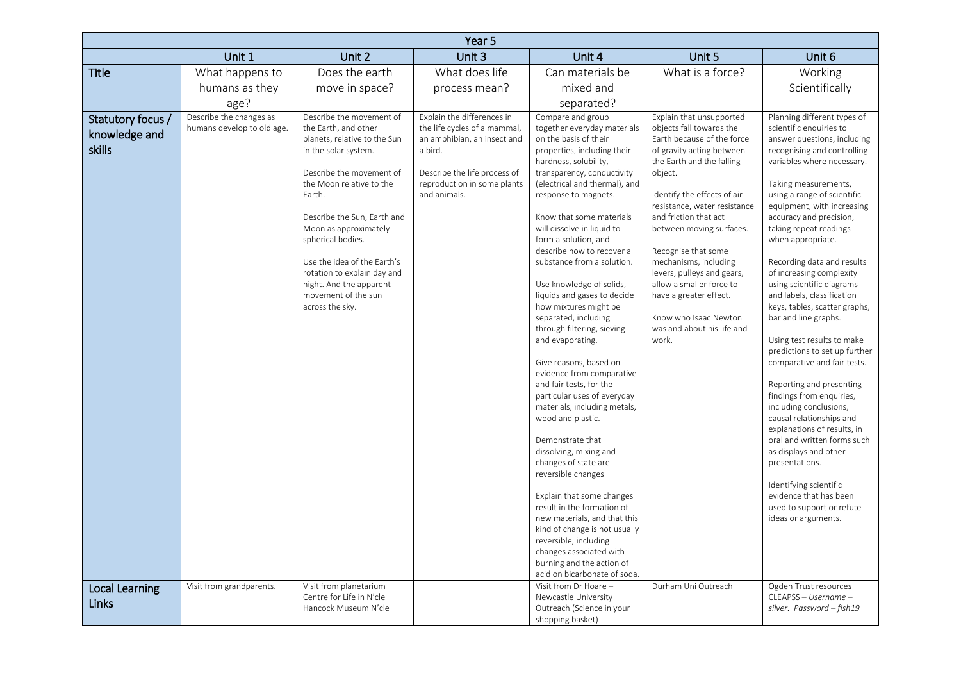| Year 5                                       |                                                       |                                                                                                                                                                                                                                                                                                                                                                                            |                                                                                                                                                                                     |                                                                                                                                                                                                                                                                                                                                                                                                                                                                                                                                                                                                                                                                                                                                                                                                                                                                  |                                                                                                                                                                                                                                                                                                                                                                                                                                                                                 |                                                                                                                                                                                                                                                                                                                                                                                                                                                                                                                                                                                                                                                                                                                                                                                                                                                                                                       |  |
|----------------------------------------------|-------------------------------------------------------|--------------------------------------------------------------------------------------------------------------------------------------------------------------------------------------------------------------------------------------------------------------------------------------------------------------------------------------------------------------------------------------------|-------------------------------------------------------------------------------------------------------------------------------------------------------------------------------------|------------------------------------------------------------------------------------------------------------------------------------------------------------------------------------------------------------------------------------------------------------------------------------------------------------------------------------------------------------------------------------------------------------------------------------------------------------------------------------------------------------------------------------------------------------------------------------------------------------------------------------------------------------------------------------------------------------------------------------------------------------------------------------------------------------------------------------------------------------------|---------------------------------------------------------------------------------------------------------------------------------------------------------------------------------------------------------------------------------------------------------------------------------------------------------------------------------------------------------------------------------------------------------------------------------------------------------------------------------|-------------------------------------------------------------------------------------------------------------------------------------------------------------------------------------------------------------------------------------------------------------------------------------------------------------------------------------------------------------------------------------------------------------------------------------------------------------------------------------------------------------------------------------------------------------------------------------------------------------------------------------------------------------------------------------------------------------------------------------------------------------------------------------------------------------------------------------------------------------------------------------------------------|--|
|                                              | Unit 1                                                | Unit 2                                                                                                                                                                                                                                                                                                                                                                                     | Unit 3                                                                                                                                                                              | Unit 4                                                                                                                                                                                                                                                                                                                                                                                                                                                                                                                                                                                                                                                                                                                                                                                                                                                           | Unit 5                                                                                                                                                                                                                                                                                                                                                                                                                                                                          | Unit 6                                                                                                                                                                                                                                                                                                                                                                                                                                                                                                                                                                                                                                                                                                                                                                                                                                                                                                |  |
| <b>Title</b>                                 | What happens to                                       | Does the earth                                                                                                                                                                                                                                                                                                                                                                             | What does life                                                                                                                                                                      | Can materials be                                                                                                                                                                                                                                                                                                                                                                                                                                                                                                                                                                                                                                                                                                                                                                                                                                                 | What is a force?                                                                                                                                                                                                                                                                                                                                                                                                                                                                | Working                                                                                                                                                                                                                                                                                                                                                                                                                                                                                                                                                                                                                                                                                                                                                                                                                                                                                               |  |
|                                              | humans as they                                        | move in space?                                                                                                                                                                                                                                                                                                                                                                             | process mean?                                                                                                                                                                       | mixed and                                                                                                                                                                                                                                                                                                                                                                                                                                                                                                                                                                                                                                                                                                                                                                                                                                                        |                                                                                                                                                                                                                                                                                                                                                                                                                                                                                 | Scientifically                                                                                                                                                                                                                                                                                                                                                                                                                                                                                                                                                                                                                                                                                                                                                                                                                                                                                        |  |
|                                              | age?                                                  |                                                                                                                                                                                                                                                                                                                                                                                            |                                                                                                                                                                                     | separated?                                                                                                                                                                                                                                                                                                                                                                                                                                                                                                                                                                                                                                                                                                                                                                                                                                                       |                                                                                                                                                                                                                                                                                                                                                                                                                                                                                 |                                                                                                                                                                                                                                                                                                                                                                                                                                                                                                                                                                                                                                                                                                                                                                                                                                                                                                       |  |
| Statutory focus /<br>knowledge and<br>skills | Describe the changes as<br>humans develop to old age. | Describe the movement of<br>the Earth, and other<br>planets, relative to the Sun<br>in the solar system.<br>Describe the movement of<br>the Moon relative to the<br>Farth.<br>Describe the Sun, Earth and<br>Moon as approximately<br>spherical bodies.<br>Use the idea of the Earth's<br>rotation to explain day and<br>night. And the apparent<br>movement of the sun<br>across the sky. | Explain the differences in<br>the life cycles of a mammal,<br>an amphibian, an insect and<br>a bird.<br>Describe the life process of<br>reproduction in some plants<br>and animals. | Compare and group<br>together everyday materials<br>on the basis of their<br>properties, including their<br>hardness, solubility,<br>transparency, conductivity<br>(electrical and thermal), and<br>response to magnets.<br>Know that some materials<br>will dissolve in liquid to<br>form a solution, and<br>describe how to recover a<br>substance from a solution.<br>Use knowledge of solids,<br>liquids and gases to decide<br>how mixtures might be<br>separated, including<br>through filtering, sieving<br>and evaporating.<br>Give reasons, based on<br>evidence from comparative<br>and fair tests, for the<br>particular uses of everyday<br>materials, including metals,<br>wood and plastic.<br>Demonstrate that<br>dissolving, mixing and<br>changes of state are<br>reversible changes<br>Explain that some changes<br>result in the formation of | Explain that unsupported<br>objects fall towards the<br>Earth because of the force<br>of gravity acting between<br>the Earth and the falling<br>object.<br>Identify the effects of air<br>resistance, water resistance<br>and friction that act<br>between moving surfaces.<br>Recognise that some<br>mechanisms, including<br>levers, pulleys and gears,<br>allow a smaller force to<br>have a greater effect.<br>Know who Isaac Newton<br>was and about his life and<br>work. | Planning different types of<br>scientific enquiries to<br>answer questions, including<br>recognising and controlling<br>variables where necessary.<br>Taking measurements,<br>using a range of scientific<br>equipment, with increasing<br>accuracy and precision,<br>taking repeat readings<br>when appropriate.<br>Recording data and results<br>of increasing complexity<br>using scientific diagrams<br>and labels, classification<br>keys, tables, scatter graphs,<br>bar and line graphs.<br>Using test results to make<br>predictions to set up further<br>comparative and fair tests.<br>Reporting and presenting<br>findings from enquiries,<br>including conclusions,<br>causal relationships and<br>explanations of results, in<br>oral and written forms such<br>as displays and other<br>presentations.<br>Identifying scientific<br>evidence that has been<br>used to support or refute |  |
|                                              |                                                       |                                                                                                                                                                                                                                                                                                                                                                                            |                                                                                                                                                                                     | new materials, and that this<br>kind of change is not usually<br>reversible, including<br>changes associated with                                                                                                                                                                                                                                                                                                                                                                                                                                                                                                                                                                                                                                                                                                                                                |                                                                                                                                                                                                                                                                                                                                                                                                                                                                                 | ideas or arguments.                                                                                                                                                                                                                                                                                                                                                                                                                                                                                                                                                                                                                                                                                                                                                                                                                                                                                   |  |
|                                              |                                                       |                                                                                                                                                                                                                                                                                                                                                                                            |                                                                                                                                                                                     | burning and the action of<br>acid on bicarbonate of soda.                                                                                                                                                                                                                                                                                                                                                                                                                                                                                                                                                                                                                                                                                                                                                                                                        |                                                                                                                                                                                                                                                                                                                                                                                                                                                                                 |                                                                                                                                                                                                                                                                                                                                                                                                                                                                                                                                                                                                                                                                                                                                                                                                                                                                                                       |  |
| <b>Local Learning</b><br>Links               | Visit from grandparents.                              | Visit from planetarium<br>Centre for Life in N'cle<br>Hancock Museum N'cle                                                                                                                                                                                                                                                                                                                 |                                                                                                                                                                                     | Visit from Dr Hoare -<br>Newcastle University<br>Outreach (Science in your                                                                                                                                                                                                                                                                                                                                                                                                                                                                                                                                                                                                                                                                                                                                                                                       | Durham Uni Outreach                                                                                                                                                                                                                                                                                                                                                                                                                                                             | Ogden Trust resources<br>CLEAPSS - Username -<br>silver. Password - fish19                                                                                                                                                                                                                                                                                                                                                                                                                                                                                                                                                                                                                                                                                                                                                                                                                            |  |
|                                              |                                                       |                                                                                                                                                                                                                                                                                                                                                                                            |                                                                                                                                                                                     | shopping basket)                                                                                                                                                                                                                                                                                                                                                                                                                                                                                                                                                                                                                                                                                                                                                                                                                                                 |                                                                                                                                                                                                                                                                                                                                                                                                                                                                                 |                                                                                                                                                                                                                                                                                                                                                                                                                                                                                                                                                                                                                                                                                                                                                                                                                                                                                                       |  |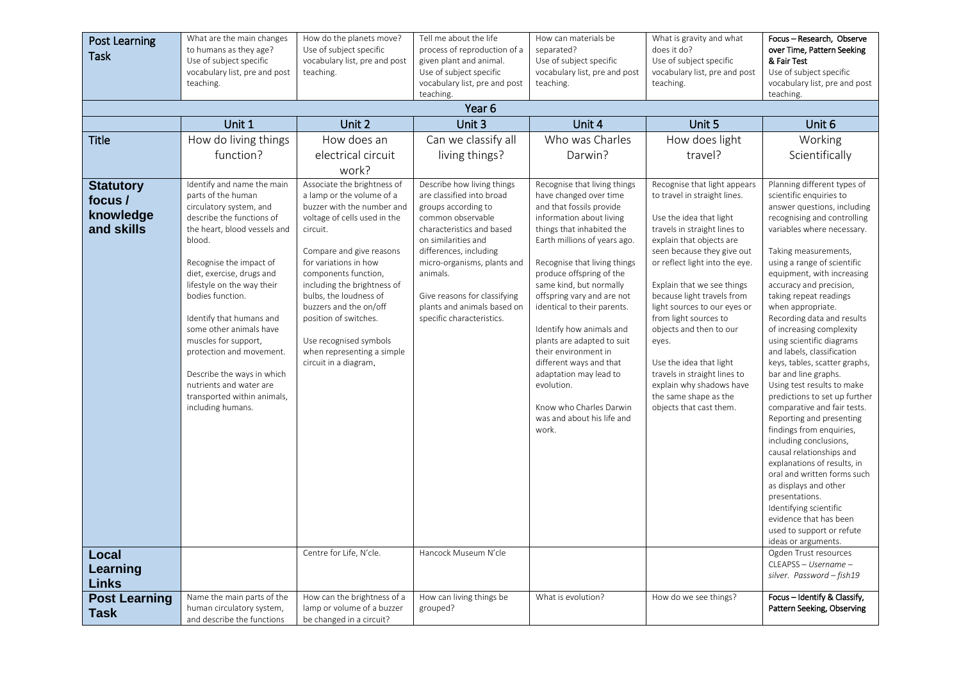| <b>Post Learning</b><br><b>Task</b> | What are the main changes<br>to humans as they age?<br>Use of subject specific<br>vocabulary list, pre and post<br>teaching.                                                                                                                                                                                                                                                                                                                           | How do the planets move?<br>Use of subject specific<br>vocabulary list, pre and post<br>teaching.                                                                                                                                                                                                                                                                             | Tell me about the life<br>process of reproduction of a<br>given plant and animal.<br>Use of subject specific<br>vocabulary list, pre and post<br>teaching.                                                                                                                                 | How can materials be<br>separated?<br>Use of subject specific<br>vocabulary list, pre and post<br>teaching.                                                                                                                                                                                                                                                                                                                                                                                                            | What is gravity and what<br>does it do?<br>Use of subject specific<br>vocabulary list, pre and post<br>teaching.                                                                                                                                                                                                                                                                                                                                                                        | Focus - Research, Observe<br>over Time, Pattern Seeking<br>& Fair Test<br>Use of subject specific<br>vocabulary list, pre and post<br>teaching.                                                                                                                                                                                                                                                                                                                                                                                                                                                                                                                                                                                                                                                                                                                                               |
|-------------------------------------|--------------------------------------------------------------------------------------------------------------------------------------------------------------------------------------------------------------------------------------------------------------------------------------------------------------------------------------------------------------------------------------------------------------------------------------------------------|-------------------------------------------------------------------------------------------------------------------------------------------------------------------------------------------------------------------------------------------------------------------------------------------------------------------------------------------------------------------------------|--------------------------------------------------------------------------------------------------------------------------------------------------------------------------------------------------------------------------------------------------------------------------------------------|------------------------------------------------------------------------------------------------------------------------------------------------------------------------------------------------------------------------------------------------------------------------------------------------------------------------------------------------------------------------------------------------------------------------------------------------------------------------------------------------------------------------|-----------------------------------------------------------------------------------------------------------------------------------------------------------------------------------------------------------------------------------------------------------------------------------------------------------------------------------------------------------------------------------------------------------------------------------------------------------------------------------------|-----------------------------------------------------------------------------------------------------------------------------------------------------------------------------------------------------------------------------------------------------------------------------------------------------------------------------------------------------------------------------------------------------------------------------------------------------------------------------------------------------------------------------------------------------------------------------------------------------------------------------------------------------------------------------------------------------------------------------------------------------------------------------------------------------------------------------------------------------------------------------------------------|
|                                     | Unit 1                                                                                                                                                                                                                                                                                                                                                                                                                                                 | Unit 2                                                                                                                                                                                                                                                                                                                                                                        | Year <sub>6</sub><br>Unit 3                                                                                                                                                                                                                                                                | Unit 4                                                                                                                                                                                                                                                                                                                                                                                                                                                                                                                 | Unit 5                                                                                                                                                                                                                                                                                                                                                                                                                                                                                  | Unit 6                                                                                                                                                                                                                                                                                                                                                                                                                                                                                                                                                                                                                                                                                                                                                                                                                                                                                        |
| <b>Title</b><br><b>Statutory</b>    | How do living things<br>function?<br>Identify and name the main                                                                                                                                                                                                                                                                                                                                                                                        | How does an<br>electrical circuit<br>work?<br>Associate the brightness of                                                                                                                                                                                                                                                                                                     | Can we classify all<br>living things?<br>Describe how living things                                                                                                                                                                                                                        | Who was Charles<br>Darwin?<br>Recognise that living things                                                                                                                                                                                                                                                                                                                                                                                                                                                             | How does light<br>travel?<br>Recognise that light appears                                                                                                                                                                                                                                                                                                                                                                                                                               | Working<br>Scientifically<br>Planning different types of                                                                                                                                                                                                                                                                                                                                                                                                                                                                                                                                                                                                                                                                                                                                                                                                                                      |
| focus /<br>knowledge<br>and skills  | parts of the human<br>circulatory system, and<br>describe the functions of<br>the heart, blood vessels and<br>blood.<br>Recognise the impact of<br>diet, exercise, drugs and<br>lifestyle on the way their<br>bodies function.<br>Identify that humans and<br>some other animals have<br>muscles for support,<br>protection and movement.<br>Describe the ways in which<br>nutrients and water are<br>transported within animals,<br>including humans. | a lamp or the volume of a<br>buzzer with the number and<br>voltage of cells used in the<br>circuit.<br>Compare and give reasons<br>for variations in how<br>components function,<br>including the brightness of<br>bulbs, the loudness of<br>buzzers and the on/off<br>position of switches.<br>Use recognised symbols<br>when representing a simple<br>circuit in a diagram. | are classified into broad<br>groups according to<br>common observable<br>characteristics and based<br>on similarities and<br>differences, including<br>micro-organisms, plants and<br>animals.<br>Give reasons for classifying<br>plants and animals based on<br>specific characteristics. | have changed over time<br>and that fossils provide<br>information about living<br>things that inhabited the<br>Earth millions of years ago.<br>Recognise that living things<br>produce offspring of the<br>same kind, but normally<br>offspring vary and are not<br>identical to their parents.<br>Identify how animals and<br>plants are adapted to suit<br>their environment in<br>different ways and that<br>adaptation may lead to<br>evolution.<br>Know who Charles Darwin<br>was and about his life and<br>work. | to travel in straight lines.<br>Use the idea that light<br>travels in straight lines to<br>explain that objects are<br>seen because they give out<br>or reflect light into the eye.<br>Explain that we see things<br>because light travels from<br>light sources to our eyes or<br>from light sources to<br>objects and then to our<br>eyes.<br>Use the idea that light<br>travels in straight lines to<br>explain why shadows have<br>the same shape as the<br>objects that cast them. | scientific enquiries to<br>answer questions, including<br>recognising and controlling<br>variables where necessary.<br>Taking measurements,<br>using a range of scientific<br>equipment, with increasing<br>accuracy and precision,<br>taking repeat readings<br>when appropriate.<br>Recording data and results<br>of increasing complexity<br>using scientific diagrams<br>and labels, classification<br>keys, tables, scatter graphs,<br>bar and line graphs.<br>Using test results to make<br>predictions to set up further<br>comparative and fair tests.<br>Reporting and presenting<br>findings from enquiries,<br>including conclusions,<br>causal relationships and<br>explanations of results, in<br>oral and written forms such<br>as displays and other<br>presentations.<br>Identifying scientific<br>evidence that has been<br>used to support or refute<br>ideas or arguments. |
| Local<br>Learning<br><b>Links</b>   |                                                                                                                                                                                                                                                                                                                                                                                                                                                        | Centre for Life, N'cle.                                                                                                                                                                                                                                                                                                                                                       | Hancock Museum N'cle                                                                                                                                                                                                                                                                       |                                                                                                                                                                                                                                                                                                                                                                                                                                                                                                                        |                                                                                                                                                                                                                                                                                                                                                                                                                                                                                         | Ogden Trust resources<br>CLEAPSS - Username -<br>silver. Password - fish19                                                                                                                                                                                                                                                                                                                                                                                                                                                                                                                                                                                                                                                                                                                                                                                                                    |
| <b>Post Learning</b><br><b>Task</b> | Name the main parts of the<br>human circulatory system,<br>and describe the functions                                                                                                                                                                                                                                                                                                                                                                  | How can the brightness of a<br>lamp or volume of a buzzer<br>be changed in a circuit?                                                                                                                                                                                                                                                                                         | How can living things be<br>grouped?                                                                                                                                                                                                                                                       | What is evolution?                                                                                                                                                                                                                                                                                                                                                                                                                                                                                                     | How do we see things?                                                                                                                                                                                                                                                                                                                                                                                                                                                                   | Focus - Identify & Classify,<br>Pattern Seeking, Observing                                                                                                                                                                                                                                                                                                                                                                                                                                                                                                                                                                                                                                                                                                                                                                                                                                    |